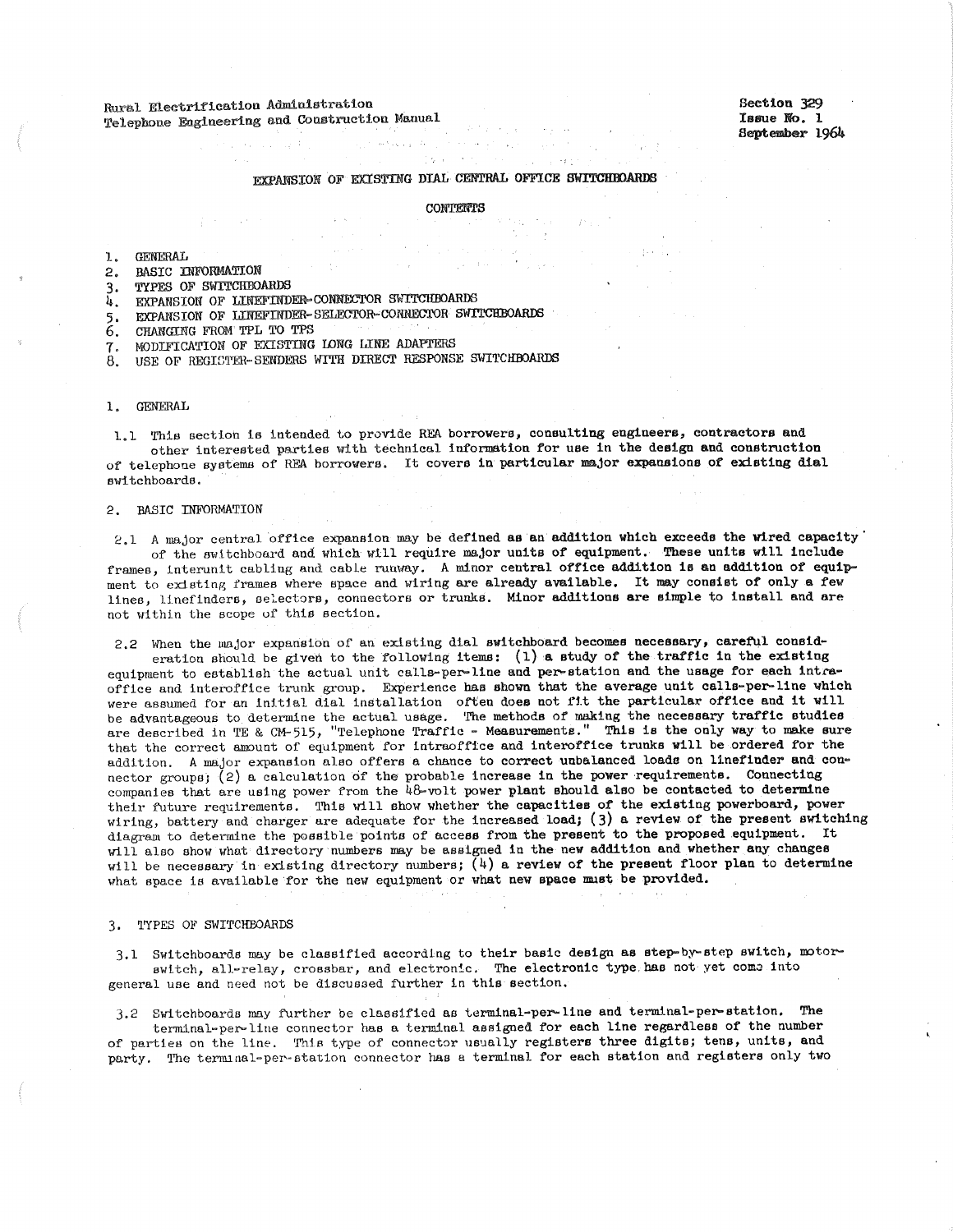Rural Electrification Administration Telephone Engineering and Construction Manual Section 329 Issue No. 1 September 1964

## $\sim$   $\sim$ EXPANSION OF EXISTING DIAL CENTRAL OFFICE SWITCHBOARDS

**CONTENTS** 

### l. GENERAL

#### 2. BASIC INFORMATION

## 3. TYPES OF SWITCHBOARDS

4. EXPANSION OF LINEFINDER-CONNECTOR SWITCHBOARDS

5. EXPANSION OF LINEFINDER-SELECTOR-CONNECTOR SWITCHBOARDS

6. CHANGING FROM TPL TO TPS

- 7. MODIFICATION OF EXISTING LONG LINE ADAPTERS
- 8. USE OF REGISTER-SENDERS WITH DIRECT RESPONSE SWITCHBOARDS

#### l. GENERAL

1.1 This section is intended to provide REA borrowers, consulting engineers, contractors and other interested parties with technical information for use in the design and construction of telephone systems of REA borrowers. It covers in particular major expansions of existing dial switchboards.

#### 2. BASIC INFORMATION

2.1 A major central office expansion may be defined as an addition which exceeds the wired capacity of the switchboard and which will require major units of equipment. These units will include frames, interunit cabling and cable runway. A minor central office addition is an addition of equipment to existing frames where space and wiring are already available. It may consist of only a few lines, 11nefinders, eelectors, connectors or trunks. Minor additions are simple to install and are not within the scope uf this section.

2.2 When the major expansion of an existing dial switchboard becomes necessary, careful consideration should be given to the following items:  $(1)$  a study of the traffic in the existing equipment to establish the actual unit calls-per-line and per-station and the usage for each intraoffice and interoffice trunk group. Experience has shown that the average unit calls-per-line which were assumed for an initial dial installation often does not fit the particular office and it will be advantageous to determine the actual usage. The methods of making the necessary traffic studies are described in TE & CM-515, "Telephone Traffic - Measuremente." This is the only way to make sure that the correct amount of equipment for intraoffice and interoffice trunks will be ordered for the addition. A major expansion also offers a chance to correct unbalanced loads on linefinder and connector groups;  $(2)$  a calculation of the probable increase in the power requirements. Connecting companies that are using power from the 48-volt power plant should also be contacted to determine their future requirements. This will show whether the capacities of the existing powerboard, power wiring, battery and charger are adequate for the increased load; (3) a review of the present switching diagram to determine the possible points of access from the present to the proposed equipment. It will also show what directory numbers may be assigned in the new addition and whether any changes will be necessary in existing directory numbers;  $(4)$  a review of the present floor plan to determine what space is available for the new equipment or what new space must be provided.

#### 3. TYPES OF SWITCHBOARDS

3.1 Switchboards may be classified according to their basic design as step-by-step switch, motorswitch, all-relay, crossbar, and electronic. The electronic type has not yet come into general use and need not be discussed further in this section.

3.2 Switchboards may further be classified as terminal-per-line and terminal-per-station. The terminal-per-line connector has a terminal assigned for each line regardless of the number of parties on the line. This type of connector usually registers three digits; tens, units, and party. The ternunal-per-atation connector has a terminal for each station and registers only two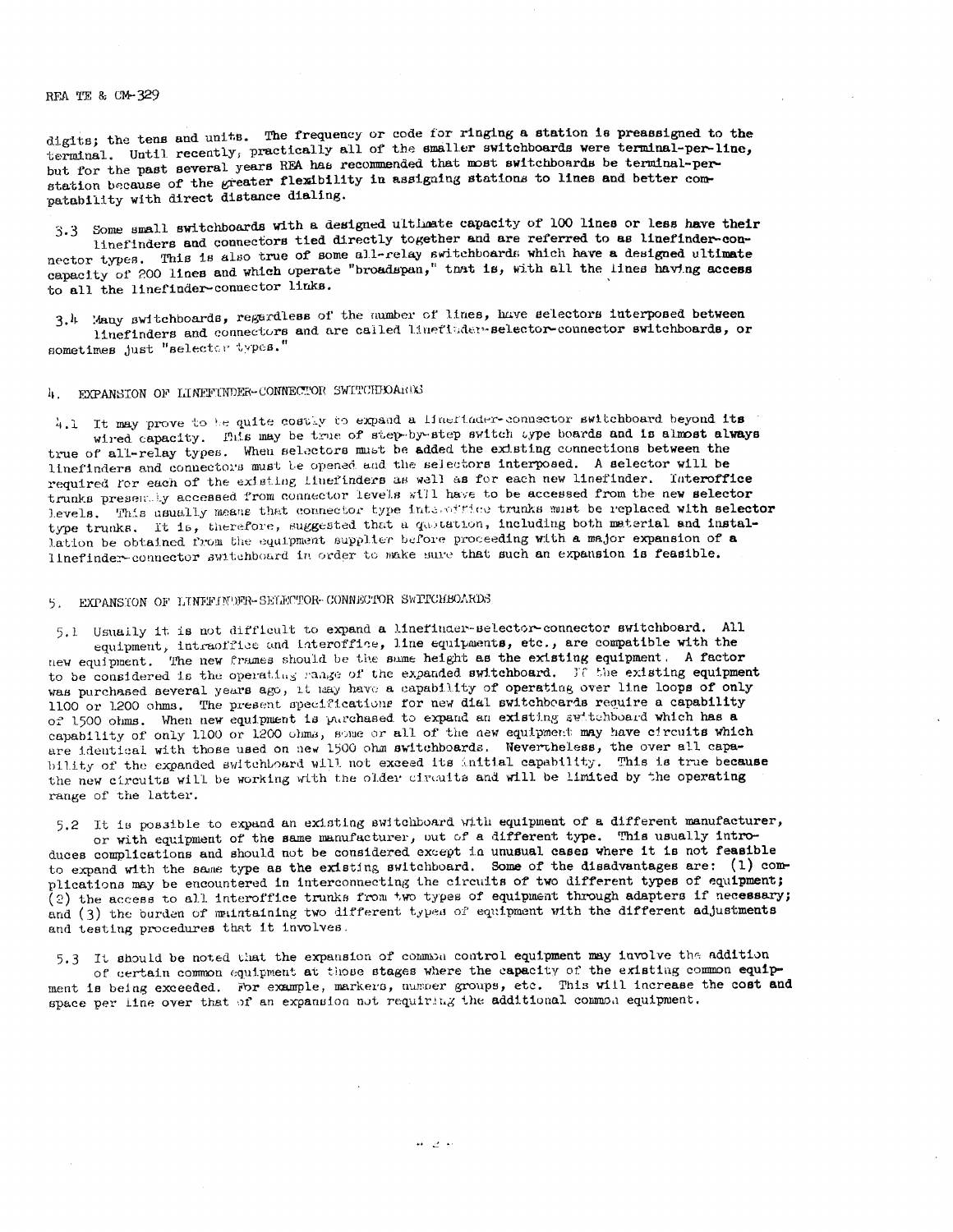#### REA TE & CM-329

digits; the tens and units. The frequency or code for ringing a station is preassigned to the terminal. Until recently, practically all of the smaller switchboards were terminal-per-line, but for the past several years REA has recommended that most switchboards be terminal-perstation because of the greater flexibility in assigning stations to lines and better compatability with direct distance dialing.

Some small switchboards with a designed ultimate capacity of 100 lines or less have their  $3.3$ linefinders and connectors tied directly together and are referred to as linefinder-connector types. This is also true of some all-relay switchboards which have a designed ultimate capacity of 200 lines and which operate "broadspan," that is, with all the lines having access to all the linefinder-connector links.

3.4 Many switchboards, regardless of the number of lines, have selectors interposed between linefinders and connectors and are called linefinder-selector-connector switchboards, or sometimes just "selector types."

# 4. EXPANSION OF LINEFUNDER-CONNECTOR SWITCHBOARDS

4.1 It may prove to be quite costly to expand a linefinder-connector switchboard beyond its wired capacity. This may be true of step-by-step switch type boards and is almost always true of all-relay types. When selectors must be added the existing connections between the linefinders and connectors must be opened and the selectors interposed. A selector will be required for each of the existing linefinders as well as for each new linefinder. Interoffice trunks presently accessed from connector levels will have to be accessed from the new selector levels. This usually means that connector type interefrice trunks must be replaced with selector type trunks. It is, therefore, suggested that a quotation, including both meterial and installation be obtained from the equipment supplier before proceeding with a major expansion of a linefinder-connector switchboard in order to make sure that such an expansion is feasible.

## 5. EXPANSION OF LINEFINDER-SELECTOR-CONNECTOR SWITCHBOARDS

5.1 Usually it is not difficult to expand a Mnefinder-selector-connector switchboard. All equipment, intraoffice and interoffice, line equipments, etc., are compatible with the new equipment. The new frames should be the same height as the existing equipment. A factor to be considered is the operating range of the expanded switchboard. If the existing equipment was purchased several years ago, it may have a capability of operating over line loops of only 1100 or 1200 ohms. The present specifications for new dial switchboards require a capability of 1500 ohms. When new equipment is parchased to expand an existing switchboard which has a capability of only 1100 or 1200 ohms, some or all of the new equipment may have circuits which are identical with those used on new 1500 chm switchboards. Nevertheless, the over all capability of the expanded switchboard will not exceed its initial capability. This is true because the new circuits will be working with the older circuits and will be limited by the operating range of the latter.

5.2 It is possible to expand an existing switchboard with equipment of a different manufacturer, or with equipment of the same manufacturer, out of a different type. This usually introduces complications and should not be considered except in unusual cases where it is not feasible to expand with the same type as the existing switchboard. Some of the disadvantages are: (1) complications may be encountered in interconnecting the circuits of two different types of equipment; (2) the access to all interoffice trunks from two types of equipment through adapters if necessary; and (3) the burden of mulntaining two different types of equipment with the different adjustments and testing procedures that it involves.

5.3 It should be noted that the expansion of common control equipment may involve the addition of certain common equipment at those stages where the capacity of the existing common equipment is being exceeded. For example, markers, number groups, etc. This will increase the cost and space per line over that of an expansion not requiring the additional common equipment.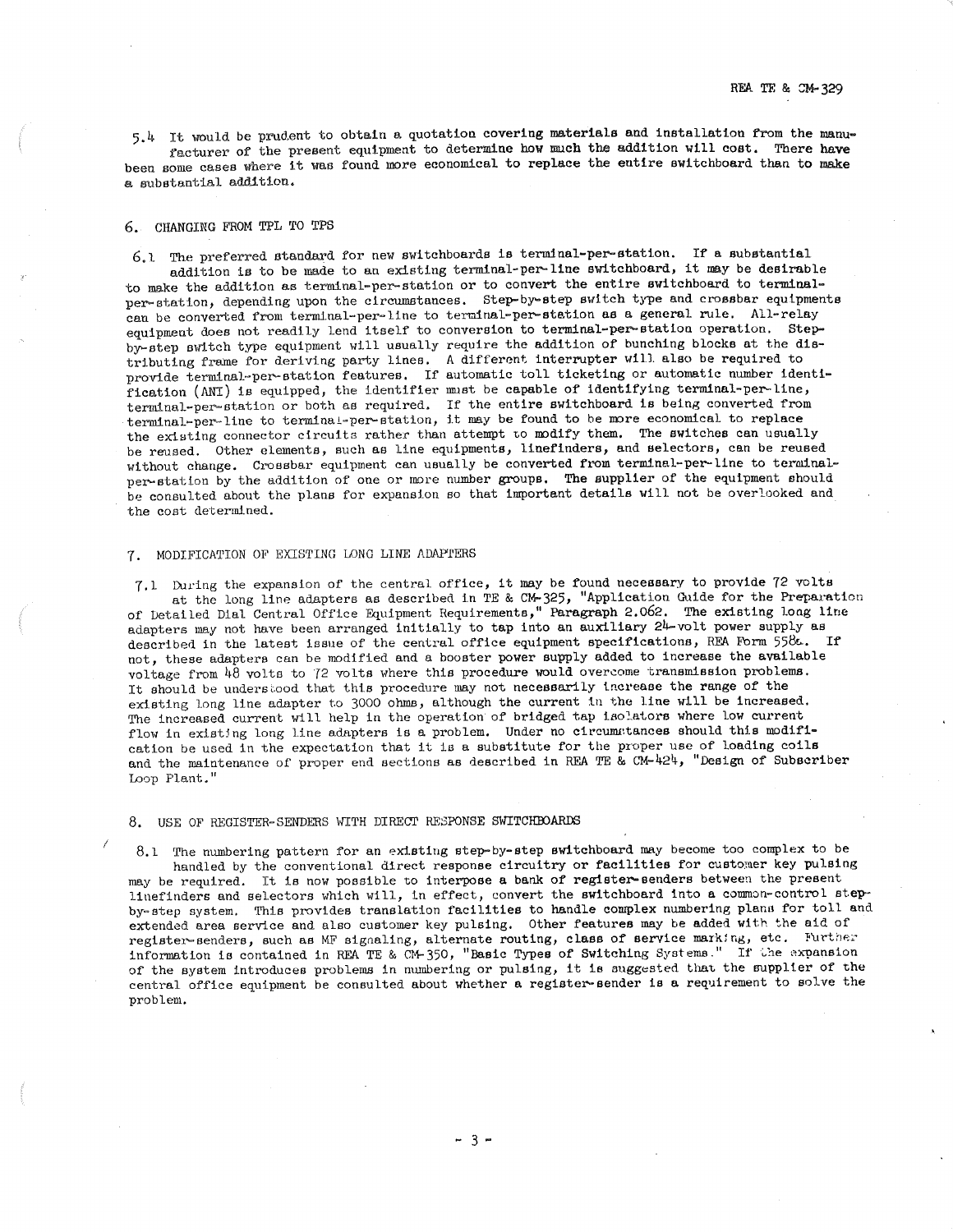5.4 It would be prudent to obtain a quotation covering materials and installation from the manufacturer of the present equipment to determine how much the addition will cost. There have been some cases where it was found more economical to replace the entire switchboard than to make a substantial addition,

#### 6. CHANGING FROM TPL TO TPS

*(* 

6. l The preferred standard for new switchboards is terminal-per-station. If a substantial addition is to be made to an existing terminal-per-line switchboard, it may be desirable to make the addition as terminal-per-station or to convert the entire switchboard to terminalper-station, depending upon the circumstances. Step-by-step switch type and crossbar equipments can be converted from terminal-per-line to terminal-per-station as a general rule. All-relay equipment does not readily lend itself to conversion to terminal-per-station operation. Stepby-step switch type equipment will usually require the addition of bunching blocks at the distributing frame for deriving party lines. A different interrupter will also be required to provide terminal-per-station features. If automatic toll ticketing or automatic number identification (ANI) is equipped, the identifier must be capable of identifying terminal-per-line, terminal-per-station or both as required. If the entire switchboard is being converted from terminal-per-line to terminal-per-station, it may be found to be more economical to replace the existing connector circuits rather than attempt to modify them. The switches can usually be reused. Other elements, such as line equipments, linefinders, and selectors, can be reused without change. Crossbar equipment can usually be converted from terminal-per-line to terminalper-station by the addition of one or more number groups. The supplier of the equipment should be consulted about the plans for expansion ao that important details will not be overlooked and the coat determined.

### 7. MODIFICATION OF EXISTING LONG LINE ADAPTERS

7, l During the expansion of the central office, it may be found necessary to provide 72 volts at the long line adapters as described in TE & CM-325, "Application Guide for the Preparation of Detailed Dial Central Office Equipment Requirements," Paragraph 2.062. The existing long line adapters may not have been arranged initially to tap into an auxiliary 24-volt power supply as described in the latest issue of the central office equipment specifications, REA Form 558c. If not, these adapters can be modified and a booster power supply added to increase the available voltage from 48 volts to '72 volts where this procedure would overcome transmission problems. It should be understood that this procedure may not necessarily increase the range of the existing long line adapter to 3000 ohms, although the current in the line will be increased. The increased current will help in the operation of bridged tap isolators where low current flow in existing long line adapters is a problem. Under no circummatances should this modification be used in the expectation that it is a substitute for the proper use of loading coils and the maintenance of proper end sections as described in REA TE & CM-424, "Design of Subscriber Loop Plant."

#### 8. USE OF REGISTER-SENDERS WITH DIRECT RESPONSE SWITCHBOARDS

8.1 The numbering pattern for an existing step-by-step switchboard may become too complex to be handled by the conventional direct response circuitry or facilities for customer key pulsing may be required. It is now possible to interpose a bank of register-senders between the present linefinders and selectors which will, in effect, convert the switchboard into a common-control stepby-step system. Thia provides translation facilities to handle complex numbering plann for toll and extended area service and also customer key pulsing. Other features may be added with the aid of register-senders, such as MF signaling, alternate routing, class of service marking, etc. Further information is contained in REA TE & CM-350, "Basic Types of Switching Systems." If the expansion of the system introduces problems in numbering or pulsing, it is suggested that the supplier of the central office equipment be consulted about whether a register-sender is a requirement to solve the problem.

- 3 -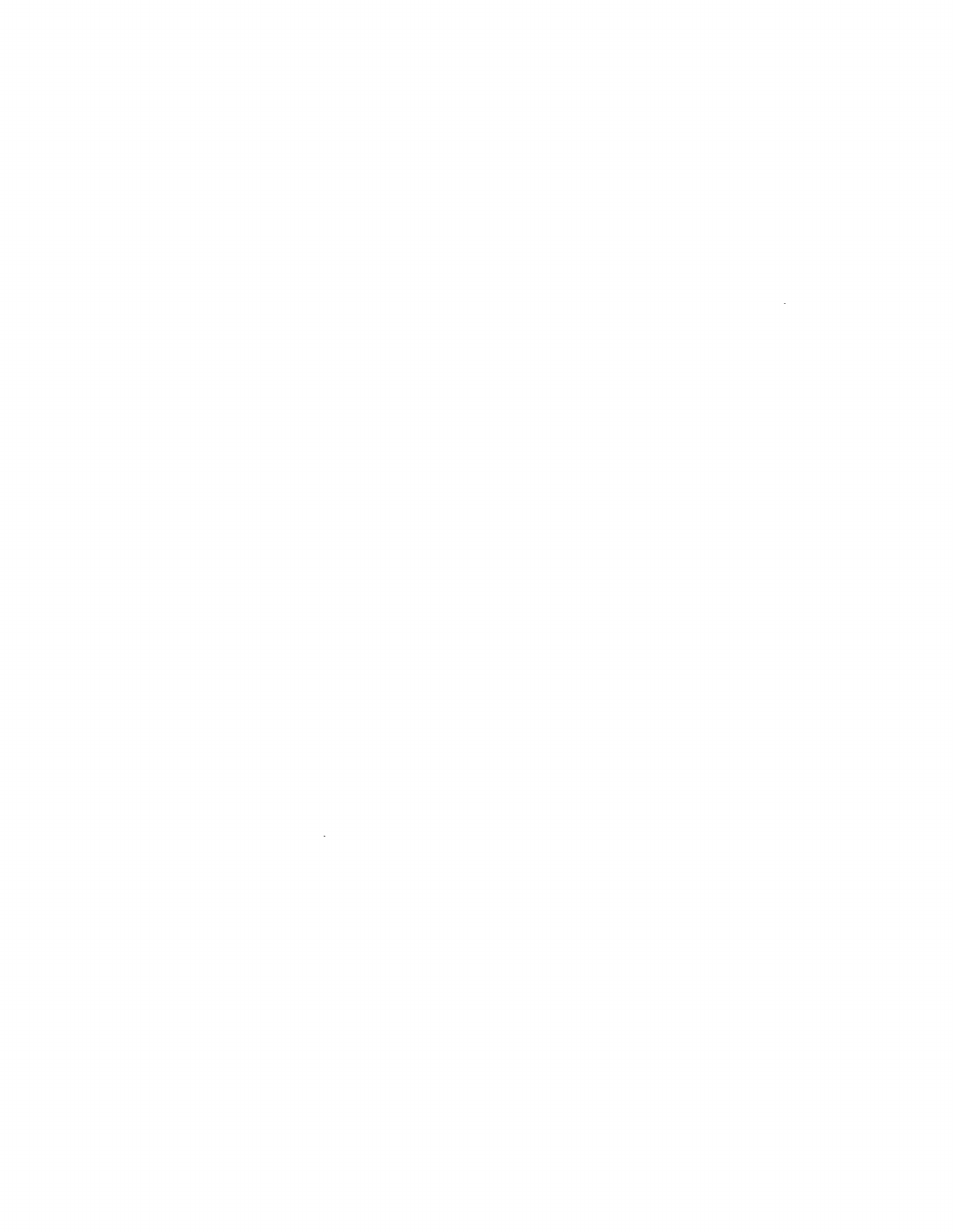$\mathcal{L}(\mathcal{L}^{\mathcal{L}}_{\mathcal{L}})$  and  $\mathcal{L}^{\mathcal{L}}_{\mathcal{L}}$  and  $\mathcal{L}^{\mathcal{L}}_{\mathcal{L}}$ 

 $\label{eq:2.1} \frac{1}{\sqrt{2}}\int_{\mathbb{R}^3}\frac{1}{\sqrt{2}}\left(\frac{1}{\sqrt{2}}\right)^2\frac{1}{\sqrt{2}}\left(\frac{1}{\sqrt{2}}\right)^2\frac{1}{\sqrt{2}}\left(\frac{1}{\sqrt{2}}\right)^2\frac{1}{\sqrt{2}}\left(\frac{1}{\sqrt{2}}\right)^2.$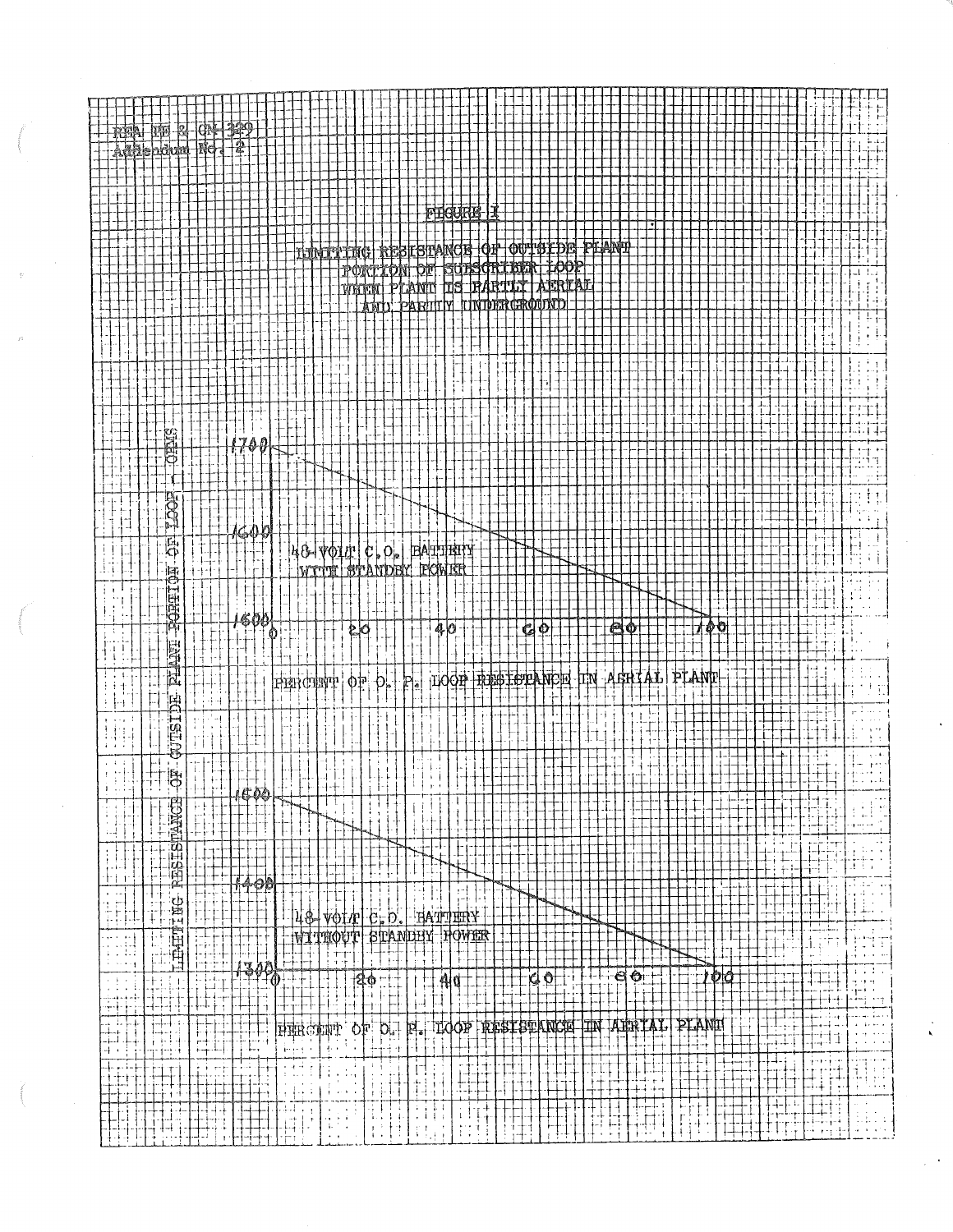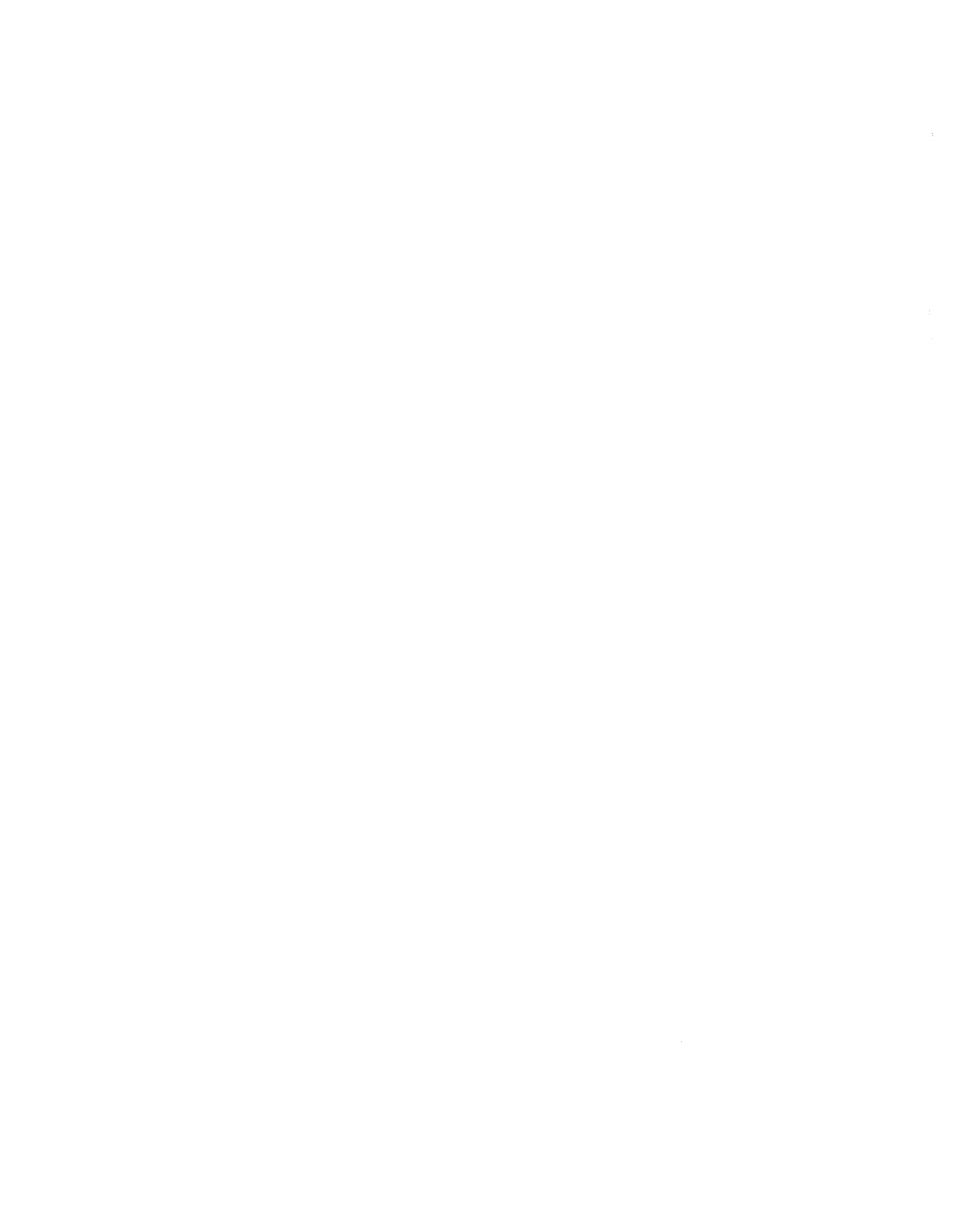$\Delta_{\rm{eff}}$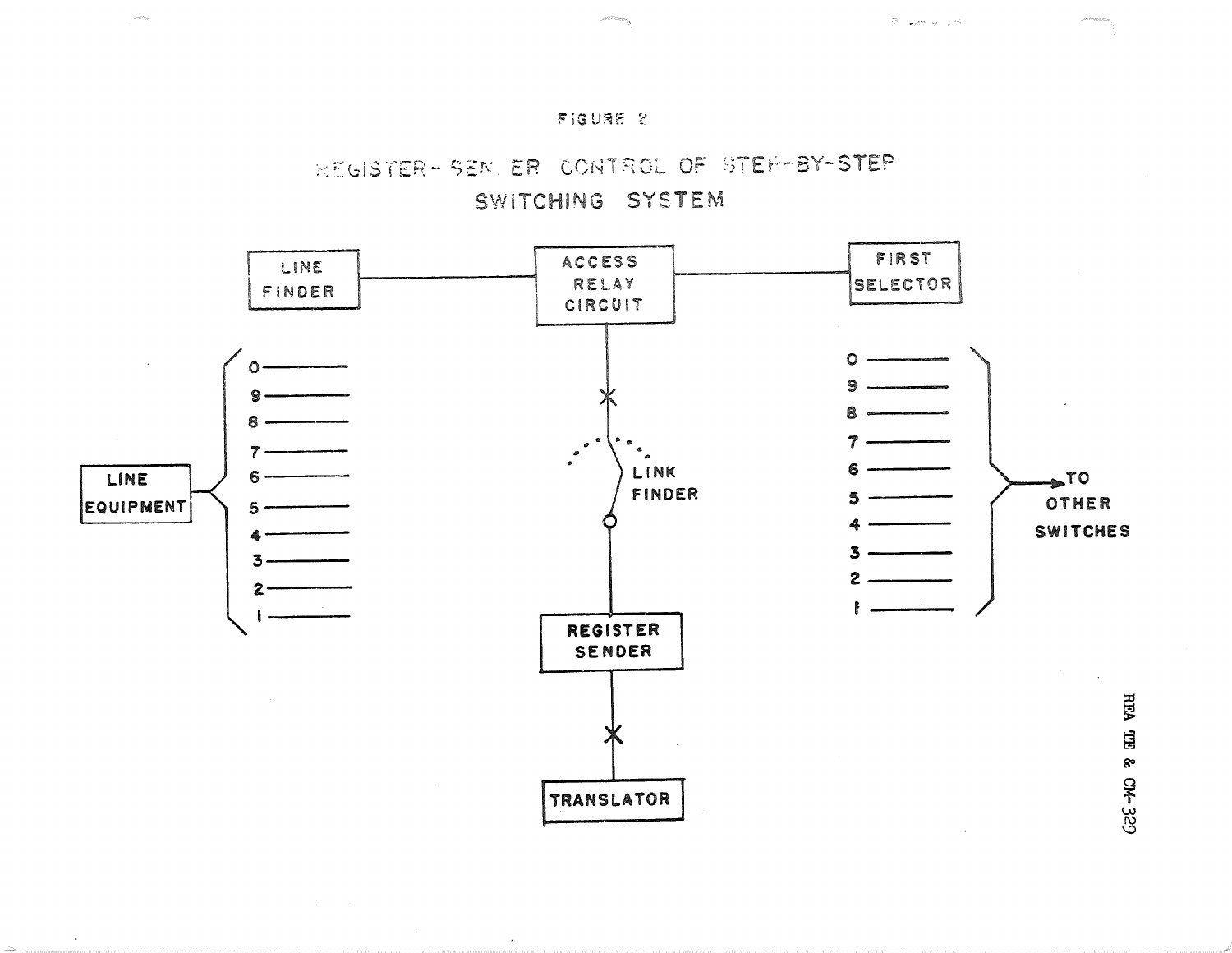

 $\bullet$ 

 $\sim$ 

REGISTER-SEN. ER CONTROL OF STEP-BY-STEP SWITCHING SYSTEM

FIGURE 2

 $\mathcal{R}=\varphi_{\mathcal{R}^{\text{max}}\left(\mathcal{Q}\right)\left(\mathcal{Q}\right)}\left(\mathcal{Q}\right)$